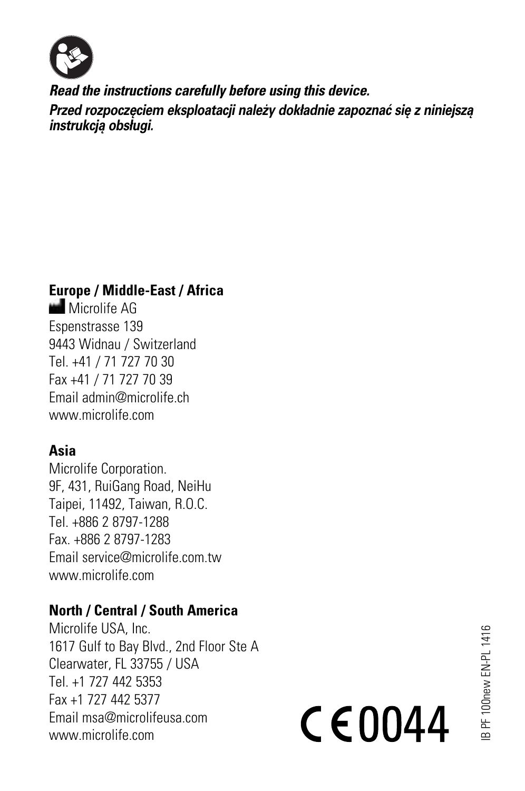

*Read the instructions carefully before using this device.* **Przed rozpoczęciem eksploatacji należy dokładnie zapoznać się z niniejszą instrukcją obsługi.**

# **Europe / Middle-East / Africa**

Microlife AG Espenstrasse 139 9443 Widnau / Switzerland Tel. +41 / 71 727 70 30 Fax +41 / 71 727 70 39 Email admin@microlife.ch www.microlife.com

# **Asia**

Microlife Corporation. 9F, 431, RuiGang Road, NeiHu Taipei, 11492, Taiwan, R.O.C. Tel. +886 2 8797-1288 Fax. +886 2 8797-1283 Email service@microlife.com.tw www.microlife.com

# **North / Central / South America**

Microlife USA, Inc. 1617 Gulf to Bay Blvd., 2nd Floor Ste A Clearwater, FL 33755 / USA Tel. +1 727 442 5353 Fax +1 727 442 5377 Email msa@microlifeusa.com www.microlife.com

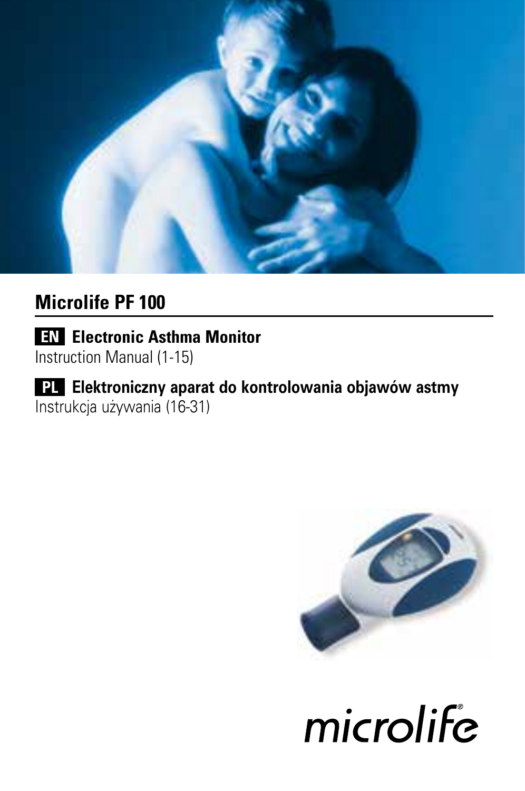

# **Microlife PF 100**

# **Electronic Asthma Monitor EN**

Instruction Manual (1-15)

**Elektroniczny aparat do kontrolowania objawów astmy PL**Instrukcja używania (16-31)



microlife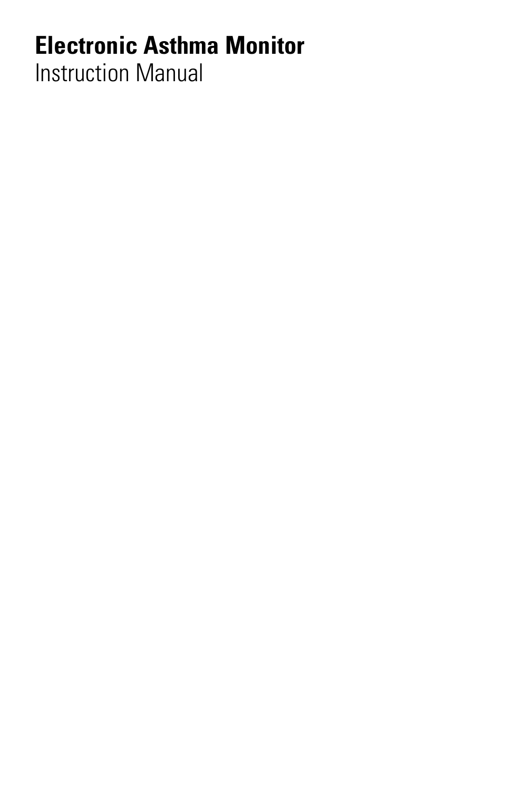# **Electronic Asthma Monitor**

Instruction Manual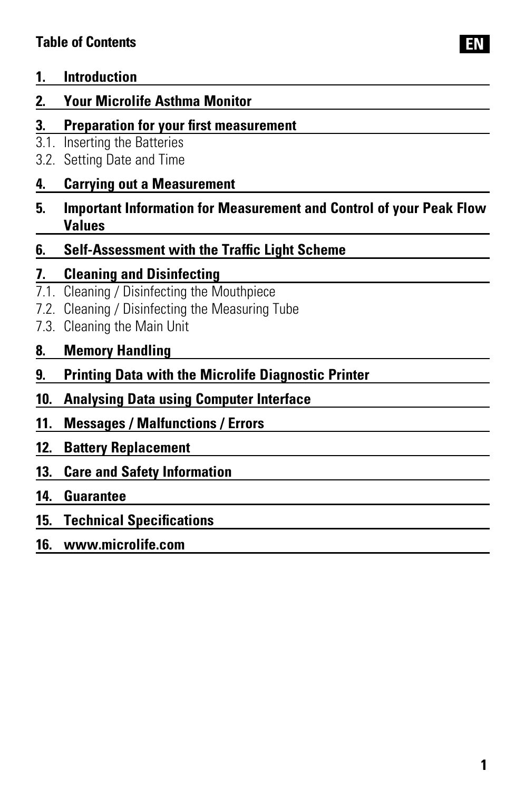# **1. Introduction**

# **2. Your Microlife Asthma Monitor**

# **3. Preparation for your first measurement**

- 3.1. Inserting the Batteries
- 3.2. Setting Date and Time

# **4. Carrying out a Measurement**

**5. Important Information for Measurement and Control of your Peak Flow Values**

# **6. Self-Assessment with the Traffic Light Scheme**

# **7. Cleaning and Disinfecting**

- 7.1. Cleaning / Disinfecting the Mouthpiece
- 7.2. Cleaning / Disinfecting the Measuring Tube
- 7.3. Cleaning the Main Unit

# **8. Memory Handling**

- **9. Printing Data with the Microlife Diagnostic Printer**
- **10. Analysing Data using Computer Interface**
- **11. Messages / Malfunctions / Errors**

# **12. Battery Replacement**

**13. Care and Safety Information**

# **14. Guarantee**

# **15. Technical Specifications**

**16. www.microlife.com**

**EN**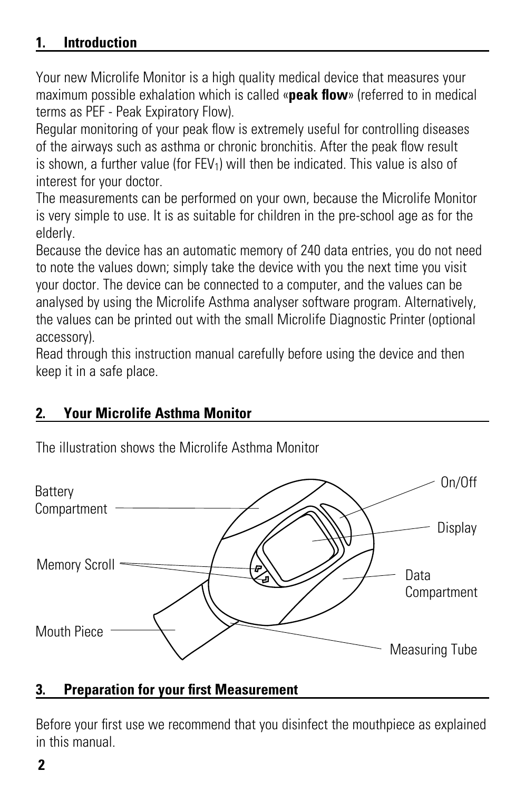### **1. Introduction**

Your new Microlife Monitor is a high quality medical device that measures your maximum possible exhalation which is called «**peak flow**» (referred to in medical terms as PEF - Peak Expiratory Flow).

Regular monitoring of your peak flow is extremely useful for controlling diseases of the airways such as asthma or chronic bronchitis. After the peak flow result is shown, a further value (for FEV1) will then be indicated. This value is also of interest for your doctor.

The measurements can be performed on your own, because the Microlife Monitor is very simple to use. It is as suitable for children in the pre-school age as for the elderly.

Because the device has an automatic memory of 240 data entries, you do not need to note the values down; simply take the device with you the next time you visit your doctor. The device can be connected to a computer, and the values can be analysed by using the Microlife Asthma analyser software program. Alternatively, the values can be printed out with the small Microlife Diagnostic Printer (optional accessory).

Read through this instruction manual carefully before using the device and then keep it in a safe place.

### **2. Your Microlife Asthma Monitor**



The illustration shows the Microlife Asthma Monitor

# **3. Preparation for your first Measurement**

Before your first use we recommend that you disinfect the mouthpiece as explained in this manual.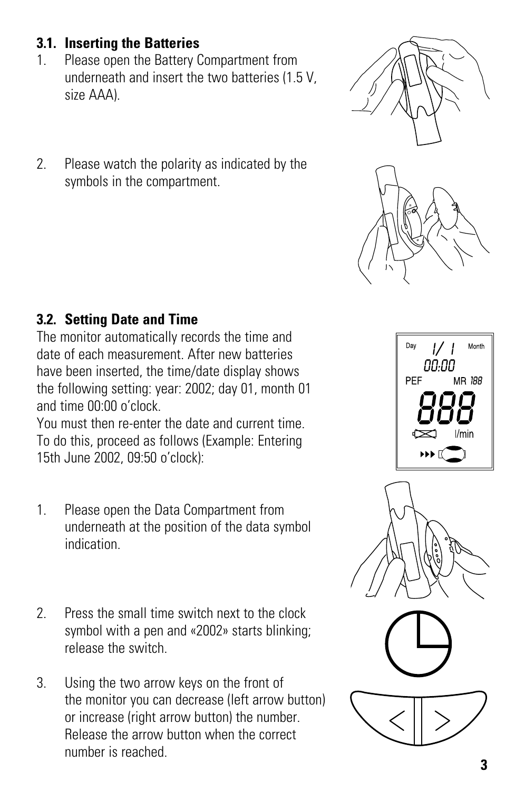# **3.1. Inserting the Batteries**

- 1. Please open the Battery Compartment from underneath and insert the two batteries (1.5 V, size AAA).
- 2. Please watch the polarity as indicated by the symbols in the compartment.





# **3.2. Setting Date and Time**

The monitor automatically records the time and date of each measurement. After new batteries have been inserted, the time/date display shows the following setting: year: 2002; day 01, month 01 and time 00:00 o'clock.

You must then re-enter the date and current time. To do this, proceed as follows (Example: Entering 15th June 2002, 09:50 o'clock):

- 1. Please open the Data Compartment from underneath at the position of the data symbol indication.
- 2. Press the small time switch next to the clock symbol with a pen and «2002» starts blinking; release the switch.
- 3. Using the two arrow keys on the front of the monitor you can decrease (left arrow button) or increase (right arrow button) the number. Release the arrow button when the correct number is reached.



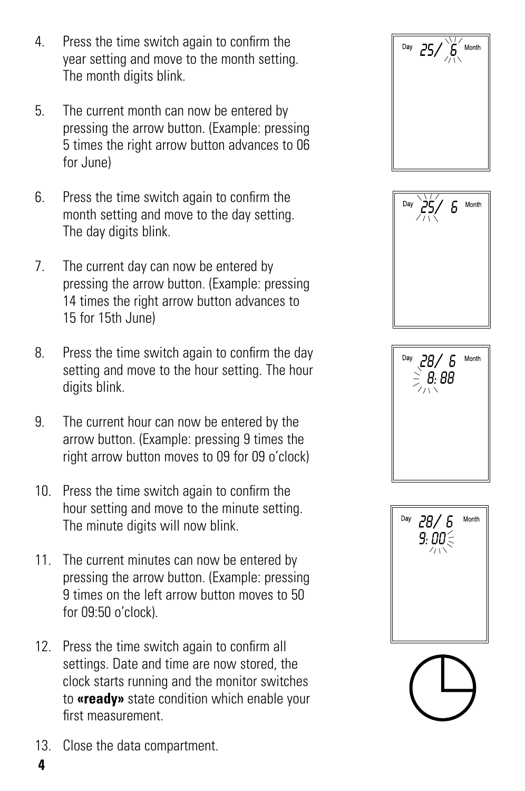- 4. Press the time switch again to confirm the year setting and move to the month setting. The month digits blink.
- 5. The current month can now be entered by pressing the arrow button. (Example: pressing 5 times the right arrow button advances to 06 for June)
- 6. Press the time switch again to confirm the month setting and move to the day setting. The day digits blink.
- 7. The current day can now be entered by pressing the arrow button. (Example: pressing 14 times the right arrow button advances to 15 for 15th June)
- 8. Press the time switch again to confirm the day setting and move to the hour setting. The hour digits blink.
- 9. The current hour can now be entered by the arrow button. (Example: pressing 9 times the right arrow button moves to 09 for 09 o'clock)
- 10. Press the time switch again to confirm the hour setting and move to the minute setting. The minute digits will now blink.
- 11. The current minutes can now be entered by pressing the arrow button. (Example: pressing 9 times on the left arrow button moves to 50 for 09:50 o'clock).
- 12. Press the time switch again to confirm all settings. Date and time are now stored, the clock starts running and the monitor switches to **«ready»** state condition which enable your first measurement.



 $28/5$ 



13. Close the data compartment.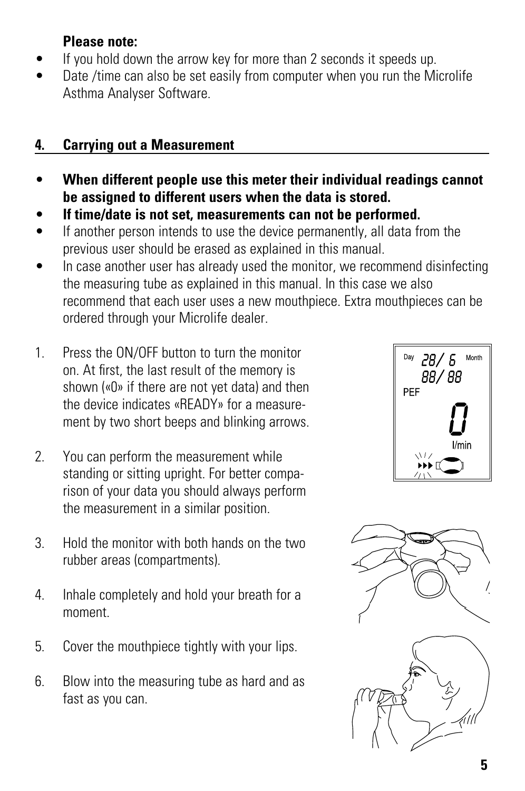# **Please note:**

- If you hold down the arrow key for more than 2 seconds it speeds up.
- Date /time can also be set easily from computer when you run the Microlife Asthma Analyser Software.

# **4. Carrying out a Measurement**

- **When different people use this meter their individual readings cannot be assigned to different users when the data is stored.**
- **If time/date is not set, measurements can not be performed.**<br>• If another person intends to use the device permanently, all data fr
- If another person intends to use the device permanently, all data from the previous user should be erased as explained in this manual.
- In case another user has already used the monitor, we recommend disinfecting the measuring tube as explained in this manual. In this case we also recommend that each user uses a new mouthpiece. Extra mouthpieces can be ordered through your Microlife dealer.
- 1. Press the ON/OFF button to turn the monitor on. At first, the last result of the memory is shown («0» if there are not yet data) and then the device indicates «READY» for a measurement by two short beeps and blinking arrows.
- 2. You can perform the measurement while standing or sitting upright. For better comparison of your data you should always perform the measurement in a similar position.
- 3. Hold the monitor with both hands on the two rubber areas (compartments).
- 4. Inhale completely and hold your breath for a moment.
- 5. Cover the mouthpiece tightly with your lips.
- 6. Blow into the measuring tube as hard and as fast as you can.



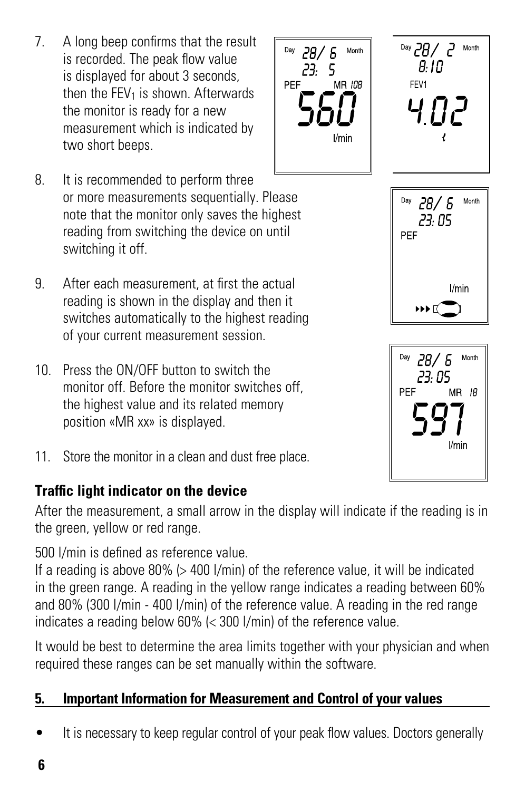- 7. A long beep confirms that the result is recorded. The peak flow value is displayed for about 3 seconds, then the  $FFV_1$  is shown. Afterwards the monitor is ready for a new measurement which is indicated by two short beeps.
- 8. It is recommended to perform three or more measurements sequentially. Please note that the monitor only saves the highest reading from switching the device on until switching it off.
- 9. After each measurement, at first the actual reading is shown in the display and then it switches automatically to the highest reading of your current measurement session.
- 10. Press the ON/OFF button to switch the monitor off. Before the monitor switches off the highest value and its related memory position «MR xx» is displayed.
- 11. Store the monitor in a clean and dust free place.

# **Traffic light indicator on the device**

After the measurement, a small arrow in the display will indicate if the reading is in the green, yellow or red range.

500 l/min is defined as reference value.

If a reading is above 80% (> 400 l/min) of the reference value, it will be indicated in the green range. A reading in the yellow range indicates a reading between 60% and 80% (300 l/min - 400 l/min) of the reference value. A reading in the red range indicates a reading below 60% (< 300 l/min) of the reference value.

It would be best to determine the area limits together with your physician and when required these ranges can be set manually within the software.

# **5. Important Information for Measurement and Control of your values**

It is necessary to keep regular control of your peak flow values. Doctors generally



<sub>ow</sub> ק ∕ <sub>P</sub>p

 $R.10$ 

EEV1



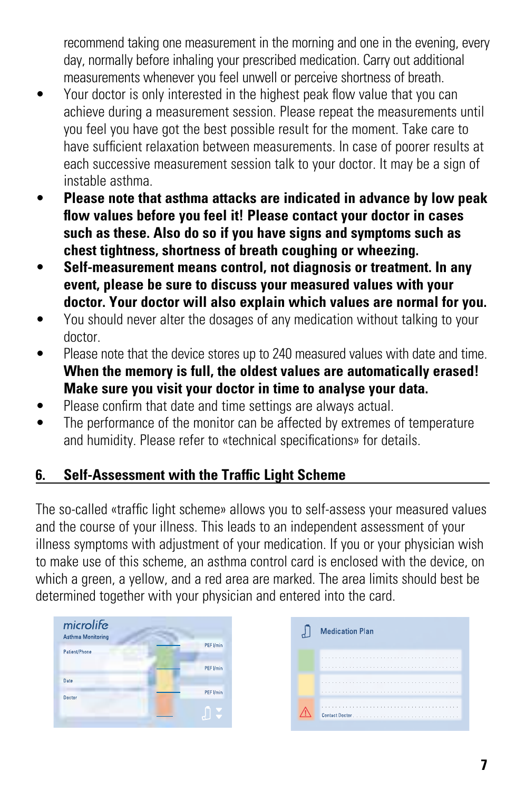recommend taking one measurement in the morning and one in the evening, every day, normally before inhaling your prescribed medication. Carry out additional measurements whenever you feel unwell or perceive shortness of breath.

- Your doctor is only interested in the highest peak flow value that you can achieve during a measurement session. Please repeat the measurements until you feel you have got the best possible result for the moment. Take care to have sufficient relaxation between measurements. In case of poorer results at each successive measurement session talk to your doctor. It may be a sign of instable asthma.
- **Please note that asthma attacks are indicated in advance by low peak flow values before you feel it! Please contact your doctor in cases such as these. Also do so if you have signs and symptoms such as chest tightness, shortness of breath coughing or wheezing.**
- **Self-measurement means control, not diagnosis or treatment. In any event, please be sure to discuss your measured values with your doctor. Your doctor will also explain which values are normal for you.**
- You should never alter the dosages of any medication without talking to your doctor.
- Please note that the device stores up to 240 measured values with date and time. **When the memory is full, the oldest values are automatically erased! Make sure you visit your doctor in time to analyse your data.**
- Please confirm that date and time settings are always actual.
- The performance of the monitor can be affected by extremes of temperature and humidity. Please refer to «technical specifications» for details.

# **6. Self-Assessment with the Traffic Light Scheme**

The so-called «traffic light scheme» allows you to self-assess your measured values and the course of your illness. This leads to an independent assessment of your illness symptoms with adjustment of your medication. If you or your physician wish to make use of this scheme, an asthma control card is enclosed with the device, on which a green, a yellow, and a red area are marked. The area limits should best be determined together with your physician and entered into the card.



| <b>Medication Plan</b> |
|------------------------|
| ۷                      |
| <b>A</b> 15            |
| . .                    |
| 1.111                  |
|                        |
| Eardsct Dectar,        |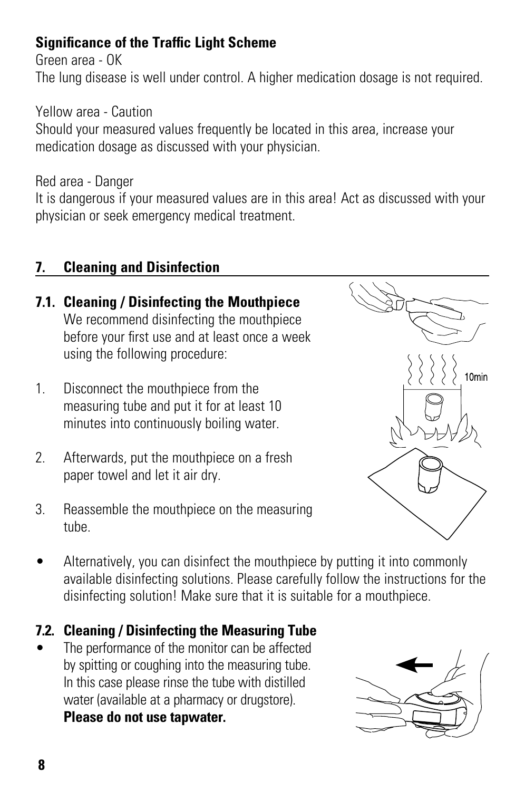# **Significance of the Traffic Light Scheme**

Green area - OK The lung disease is well under control. A higher medication dosage is not required.

Yellow area - Caution Should your measured values frequently be located in this area, increase your medication dosage as discussed with your physician.

Red area - Danger

It is dangerous if your measured values are in this area! Act as discussed with your physician or seek emergency medical treatment.

# **7. Cleaning and Disinfection**

- **7.1. Cleaning / Disinfecting the Mouthpiece** We recommend disinfecting the mouthpiece before your first use and at least once a week using the following procedure:
- 1. Disconnect the mouthpiece from the measuring tube and put it for at least 10 minutes into continuously boiling water.
- 2. Afterwards, put the mouthpiece on a fresh paper towel and let it air dry.
- 3. Reassemble the mouthpiece on the measuring tube.



• Alternatively, you can disinfect the mouthpiece by putting it into commonly available disinfecting solutions. Please carefully follow the instructions for the disinfecting solution! Make sure that it is suitable for a mouthpiece.

# **7.2. Cleaning / Disinfecting the Measuring Tube**

The performance of the monitor can be affected by spitting or coughing into the measuring tube. In this case please rinse the tube with distilled water (available at a pharmacy or drugstore). **Please do not use tapwater.**

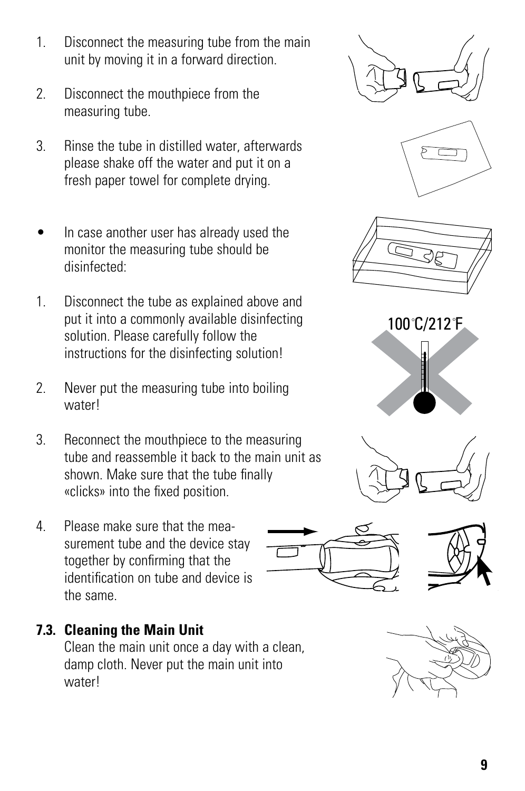- 1. Disconnect the measuring tube from the main unit by moving it in a forward direction.
- 2. Disconnect the mouthpiece from the measuring tube.
- 3. Rinse the tube in distilled water, afterwards please shake off the water and put it on a fresh paper towel for complete drying.
- In case another user has already used the monitor the measuring tube should be disinfected:
- 1. Disconnect the tube as explained above and put it into a commonly available disinfecting solution. Please carefully follow the instructions for the disinfecting solution!
- 2. Never put the measuring tube into boiling water
- 3. Reconnect the mouthpiece to the measuring tube and reassemble it back to the main unit as shown. Make sure that the tube finally «clicks» into the fixed position.
- 4. Please make sure that the measurement tube and the device stay together by confirming that the identification on tube and device is the same.

# **7.3. Cleaning the Main Unit**

Clean the main unit once a day with a clean, damp cloth. Never put the main unit into water!















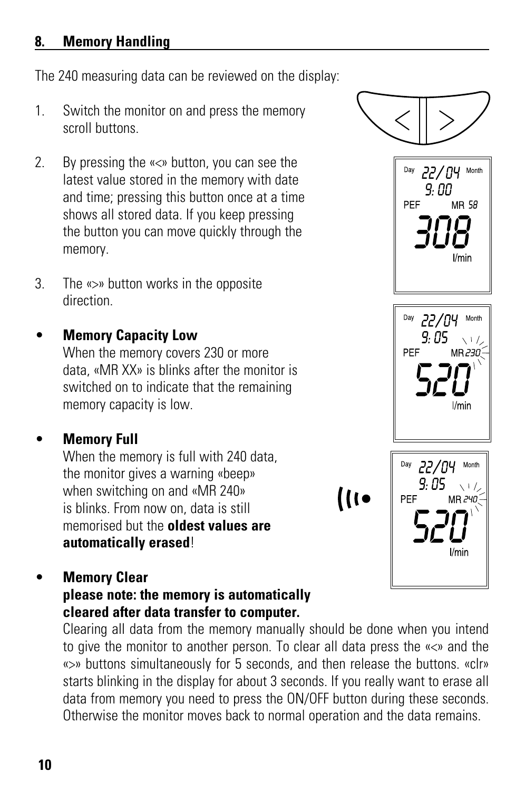# **8. Memory Handling**

The 240 measuring data can be reviewed on the display:

- 1. Switch the monitor on and press the memory scroll buttons.
- 2. By pressing the «<» button, you can see the latest value stored in the memory with date and time; pressing this button once at a time shows all stored data. If you keep pressing the button you can move quickly through the memory.
- 3. The «>» button works in the opposite direction.
	- **Memory Capacity Low**  When the memory covers 230 or more data, «MR XX» is blinks after the monitor is switched on to indicate that the remaining memory capacity is low.
- **Memory Full**

When the memory is full with 240 data, the monitor gives a warning «beep» when switching on and «MR 240» is blinks. From now on, data is still memorised but the **oldest values are automatically erased**!

• **Memory Clear please note: the memory is automatically cleared after data transfer to computer.** 

Clearing all data from the memory manually should be done when you intend to give the monitor to another person. To clear all data press the «<» and the «>» buttons simultaneously for 5 seconds, and then release the buttons. «clr» starts blinking in the display for about 3 seconds. If you really want to erase all data from memory you need to press the ON/OFF button during these seconds. Otherwise the monitor moves back to normal operation and the data remains.

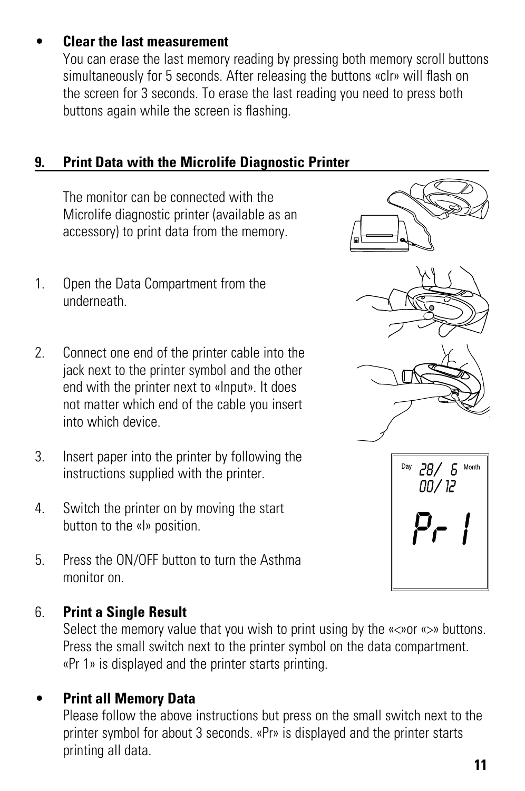# • **Clear the last measurement**

You can erase the last memory reading by pressing both memory scroll buttons simultaneously for 5 seconds. After releasing the buttons «clr» will flash on the screen for 3 seconds. To erase the last reading you need to press both buttons again while the screen is flashing.

# **9. Print Data with the Microlife Diagnostic Printer**

The monitor can be connected with the Microlife diagnostic printer (available as an accessory) to print data from the memory.

- 1. Open the Data Compartment from the underneath.
- 2. Connect one end of the printer cable into the jack next to the printer symbol and the other end with the printer next to «Input». It does not matter which end of the cable you insert into which device.
- 3. Insert paper into the printer by following the instructions supplied with the printer.
- 4. Switch the printer on by moving the start button to the «I» position.
- 5. Press the ON/OFF button to turn the Asthma monitor on.

# 6. **Print a Single Result**

Select the memory value that you wish to print using by the « $\ltimes$ »or « $\gt$ » buttons. Press the small switch next to the printer symbol on the data compartment. «Pr 1» is displayed and the printer starts printing.

# • **Print all Memory Data**

Please follow the above instructions but press on the small switch next to the printer symbol for about 3 seconds. «Pr» is displayed and the printer starts printing all data.

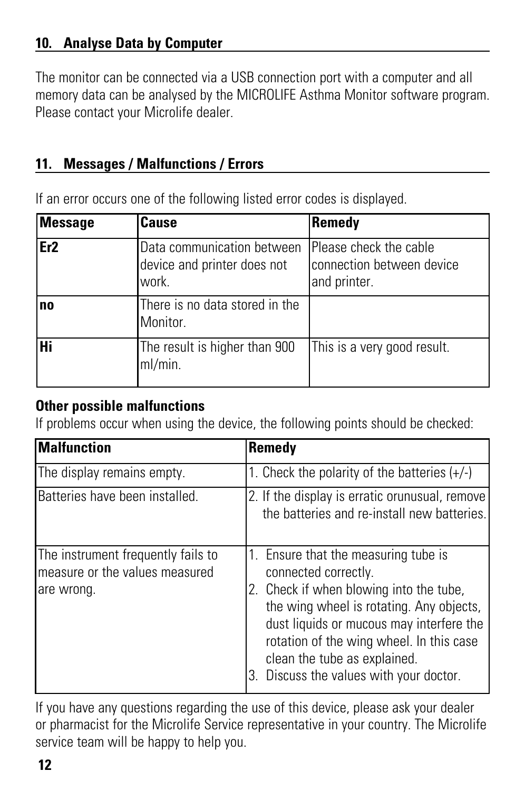The monitor can be connected via a USB connection port with a computer and all memory data can be analysed by the MICROLIFE Asthma Monitor software program. Please contact your Microlife dealer.

# **11. Messages / Malfunctions / Errors**

If an error occurs one of the following listed error codes is displayed.

| <b>Message</b>  | Cause                                                              | Remedy                                                              |
|-----------------|--------------------------------------------------------------------|---------------------------------------------------------------------|
| Er <sub>2</sub> | Data communication between<br>device and printer does not<br>work. | Please check the cable<br>connection between device<br>and printer. |
| Ino             | There is no data stored in the<br>Monitor.                         |                                                                     |
| Πi              | The result is higher than 900<br>ml/min.                           | This is a very good result.                                         |

# **Other possible malfunctions**

If problems occur when using the device, the following points should be checked:

| <b>Malfunction</b>                                                                  | Remedv                                                                                                                                                                                                                                                                                                                 |
|-------------------------------------------------------------------------------------|------------------------------------------------------------------------------------------------------------------------------------------------------------------------------------------------------------------------------------------------------------------------------------------------------------------------|
| The display remains empty.                                                          | 1. Check the polarity of the batteries (+/-)                                                                                                                                                                                                                                                                           |
| Batteries have been installed.                                                      | 2. If the display is erratic orunusual, remove<br>the batteries and re-install new batteries.                                                                                                                                                                                                                          |
| The instrument frequently fails to<br>Imeasure or the values measured<br>are wrong. | 1. Ensure that the measuring tube is<br>connected correctly.<br>2. Check if when blowing into the tube,<br>the wing wheel is rotating. Any objects,<br>dust liquids or mucous may interfere the<br>rotation of the wing wheel. In this case<br>clean the tube as explained.<br>3. Discuss the values with your doctor. |

If you have any questions regarding the use of this device, please ask your dealer or pharmacist for the Microlife Service representative in your country. The Microlife service team will be happy to help you.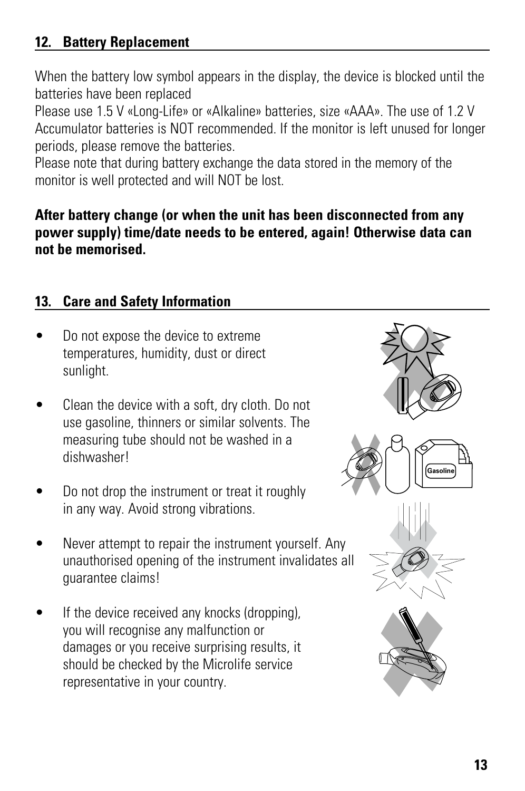# **12. Battery Replacement**

When the battery low symbol appears in the display, the device is blocked until the batteries have been replaced

Please use 1.5 V «Long-Life» or «Alkaline» batteries, size «AAA». The use of 1.2 V Accumulator batteries is NOT recommended. If the monitor is left unused for longer periods, please remove the batteries.

Please note that during battery exchange the data stored in the memory of the monitor is well protected and will NOT be lost.

# **After battery change (or when the unit has been disconnected from any power supply) time/date needs to be entered, again! Otherwise data can not be memorised.**

# **13. Care and Safety Information**

- Do not expose the device to extreme temperatures, humidity, dust or direct sunlight.
- Clean the device with a soft, dry cloth. Do not use gasoline, thinners or similar solvents. The measuring tube should not be washed in a dishwasher!
- Do not drop the instrument or treat it roughly in any way. Avoid strong vibrations.
- Never attempt to repair the instrument yourself. Any unauthorised opening of the instrument invalidates all guarantee claims!
- If the device received any knocks (dropping). you will recognise any malfunction or damages or you receive surprising results, it should be checked by the Microlife service representative in your country.

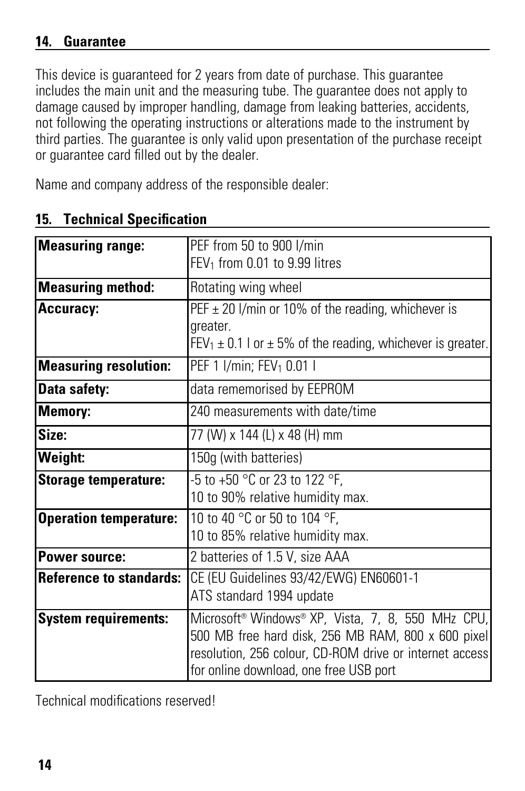### **14. Guarantee**

This device is guaranteed for 2 years from date of purchase. This guarantee includes the main unit and the measuring tube. The guarantee does not apply to damage caused by improper handling, damage from leaking batteries, accidents, not following the operating instructions or alterations made to the instrument by third parties. The guarantee is only valid upon presentation of the purchase receipt or guarantee card filled out by the dealer.

Name and company address of the responsible dealer:

| <b>Measuring range:</b>        | PEF from 50 to 900 l/min                                                       |
|--------------------------------|--------------------------------------------------------------------------------|
|                                | FEV <sub>1</sub> from 0.01 to 9.99 litres                                      |
|                                |                                                                                |
| <b>Measuring method:</b>       | Rotating wing wheel                                                            |
| Accuracy:                      | PEF $\pm$ 20 l/min or 10% of the reading, whichever is                         |
|                                | greater.                                                                       |
|                                | FEV <sub>1</sub> $\pm$ 0.1 l or $\pm$ 5% of the reading, whichever is greater. |
| <b>Measuring resolution:</b>   | PEF 1 I/min; FEV <sub>1</sub> 0.01 I                                           |
| Data safety:                   | data rememorised by EEPROM                                                     |
| <b>Memory:</b>                 | 240 measurements with date/time                                                |
| Size:                          | 77 (W) x 144 (L) x 48 (H) mm                                                   |
| Weight:                        | 150q (with batteries)                                                          |
| <b>Storage temperature:</b>    | -5 to +50 °C or 23 to 122 °F.                                                  |
|                                | 10 to 90% relative humidity max.                                               |
| <b>Operation temperature:</b>  | 10 to 40 °C or 50 to 104 °F.                                                   |
|                                | 10 to 85% relative humidity max.                                               |
| Power source:                  | 2 batteries of 1.5 V. size AAA                                                 |
| <b>Reference to standards:</b> | ICE (EU Guidelines 93/42/EWG) EN60601-1                                        |
|                                | ATS standard 1994 update                                                       |
| <b>System requirements:</b>    | Microsoft <sup>®</sup> Windows® XP, Vista, 7, 8, 550 MHz CPU,                  |
|                                | 500 MB free hard disk, 256 MB RAM, 800 x 600 pixel                             |
|                                | resolution, 256 colour, CD-ROM drive or internet access                        |
|                                | for online download, one free USB port                                         |

# **15. Technical Specification**

Technical modifications reserved!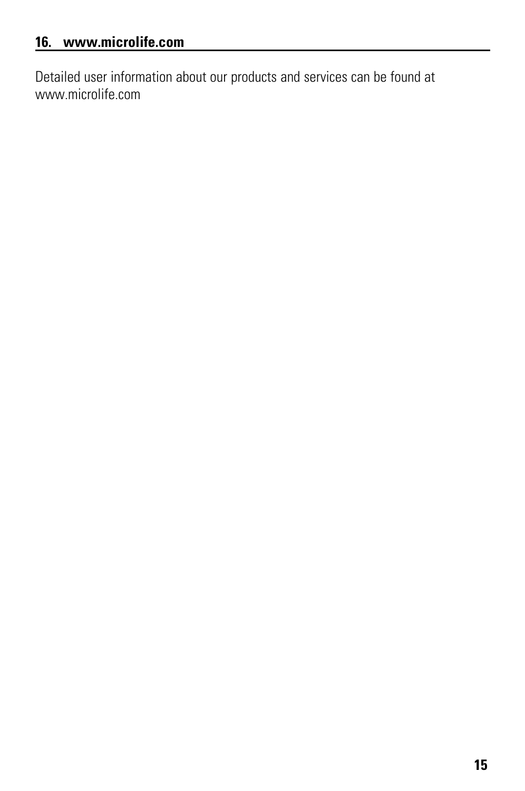# **16. www.microlife.com**

Detailed user information about our products and services can be found at www.microlife.com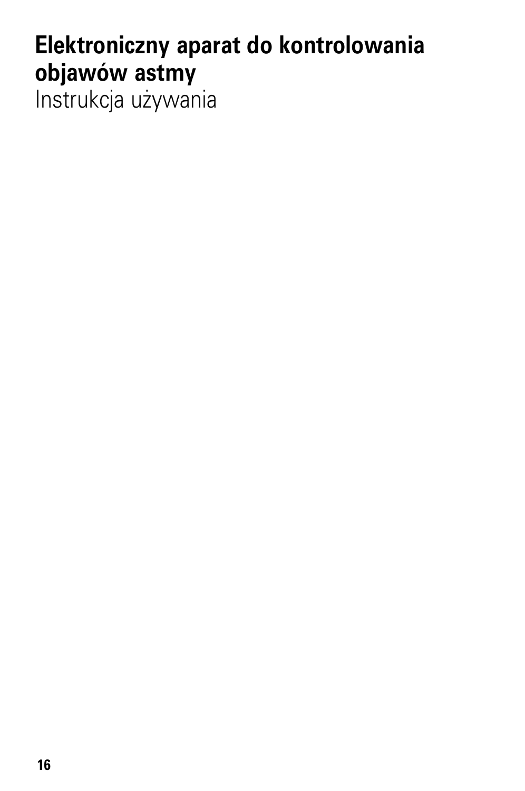# **Elektroniczny aparat do kontrolowania objawów astmy**

Instrukcja używania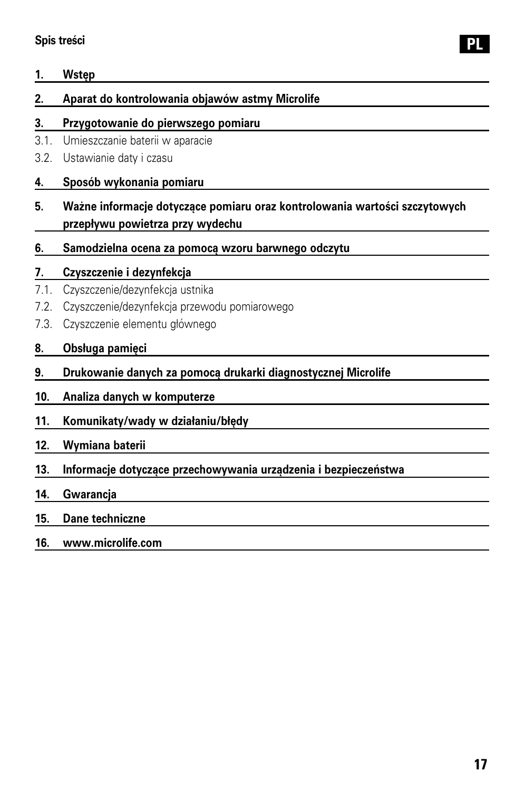### **1. Wstęp**

### **2. Aparat do kontrolowania objawów astmy Microlife**

### **3. Przygotowanie do pierwszego pomiaru**

- 3.1. Umieszczanie baterii w aparacie
- 3.2. Ustawianie daty i czasu

### **4. Sposób wykonania pomiaru**

- **5. Ważne informacje dotyczące pomiaru oraz kontrolowania wartości szczytowych przepływu powietrza przy wydechu**
- **6. Samodzielna ocena za pomocą wzoru barwnego odczytu**

### **7. Czyszczenie i dezynfekcja**

- 7.1. Czyszczenie/dezynfekcja ustnika
- 7.2. Czyszczenie/dezynfekcja przewodu pomiarowego
- 7.3. Czyszczenie elementu głównego

### **8. Obsługa pamięci**

- **9. Drukowanie danych za pomocą drukarki diagnostycznej Microlife**
- **10. Analiza danych w komputerze**
- **11. Komunikaty/wady w działaniu/błędy**
- **12. Wymiana baterii**
- **13. Informacje dotyczące przechowywania urządzenia i bezpieczeństwa**

### **14. Gwarancja**

### **15. Dane techniczne**

**16. www.microlife.com**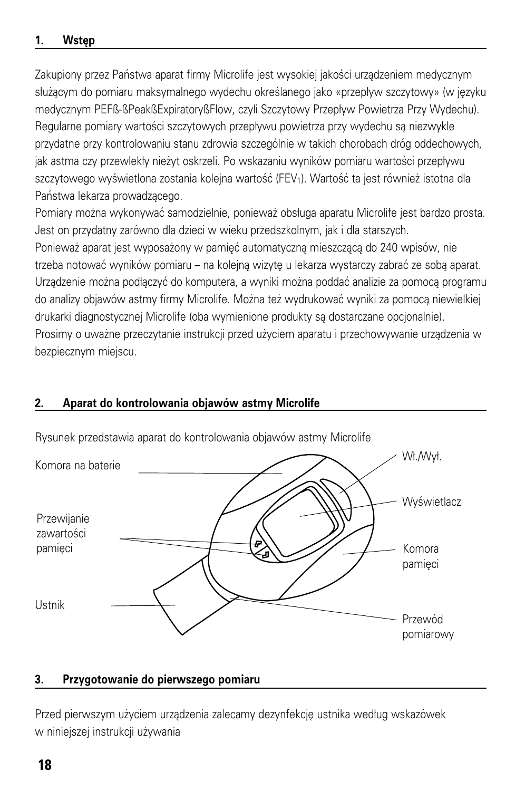#### **1. Wstęp**

Zakupiony przez Państwa aparat firmy Microlife jest wysokiej jakości urządzeniem medycznym służącym do pomiaru maksymalnego wydechu określanego jako «przepływ szczytowy» (w języku medycznym PEFß-BPeakBExpiratoryBFlow, czyli Szczytowy Przepływ Powietrza Przy Wydechu). Regularne pomiary wartości szczytowych przepływu powietrza przy wydechu są niezwykle przydatne przy kontrolowaniu stanu zdrowia szczególnie w takich chorobach dróg oddechowych, jak astma czy przewlekły nieżyt oskrzeli. Po wskazaniu wyników pomiaru wartości przepływu szczytowego wyświetlona zostania kolejna wartość (FEV1). Wartość ta jest również istotna dla Państwa lekarza prowadzącego.

Pomiary można wykonywać samodzielnie, ponieważ obsługa aparatu Microlife jest bardzo prosta. Jest on przydatny zarówno dla dzieci w wieku przedszkolnym, jak i dla starszych. Ponieważ aparat jest wyposażony w pamięć automatyczną mieszczącą do 240 wpisów, nie trzeba notować wyników pomiaru – na kolejną wizytę u lekarza wystarczy zabrać ze sobą aparat. Urządzenie można podłączyć do komputera, a wyniki można poddać analizie za pomocą programu do analizy objawów astmy firmy Microlife. Można też wydrukować wyniki za pomocą niewielkiej drukarki diagnostycznej Microlife (oba wymienione produkty są dostarczane opcjonalnie). Prosimy o uważne przeczytanie instrukcji przed użyciem aparatu i przechowywanie urządzenia w bezpiecznym miejscu.



# **2. Aparat do kontrolowania objawów astmy Microlife** Rysunek przedstawia aparat do kontrolowania objawów astmy Microlife

### **3. Przygotowanie do pierwszego pomiaru**

Przed pierwszym użyciem urządzenia zalecamy dezynfekcję ustnika według wskazówek w niniejszej instrukcji używania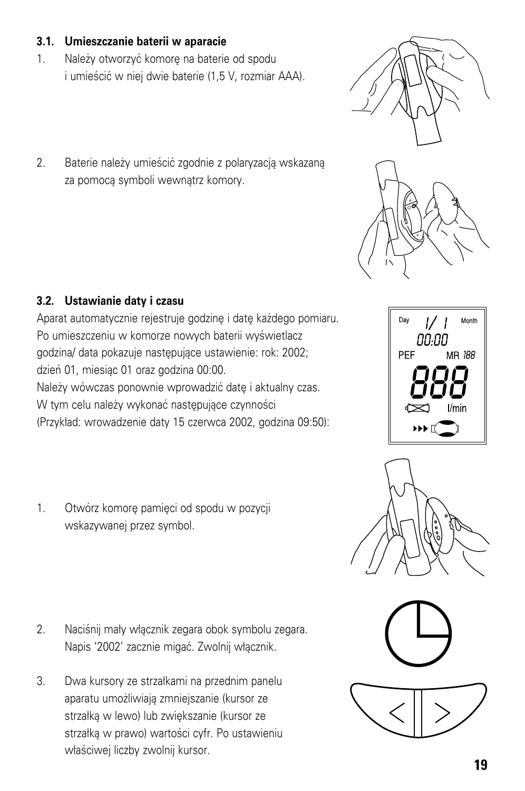# **3.1. Umieszczanie baterii w aparacie**

- 1. Należy otworzyć komorę na baterie od spodu i umieścić w niej dwie baterie (1,5 V, rozmiar AAA).
- 2. Baterie należy umieścić zgodnie z polaryzacją wskazaną za pomocą symboli wewnątrz komory.







## **3.2. Ustawianie daty i czasu**

Aparat automatycznie rejestruje godzinę i datę każdego pomiaru. Po umieszczeniu w komorze nowych baterii wyświetlacz godzina/ data pokazuje następujące ustawienie: rok: 2002; dzień 01, miesiąc 01 oraz godzina 00:00. Należy wówczas ponownie wprowadzić datę i aktualny czas. W tym celu należy wykonać następujące czynności (Przykład: wrowadzenie daty 15 czerwca 2002, godzina 09:50):

1. Otwórz komorę pamięci od spodu w pozycji wskazywanej przez symbol.

- 2. Naciśnij mały włącznik zegara obok symbolu zegara. Napis '2002' zacznie migać. Zwolnij włącznik.
- 3. Dwa kursory ze strzałkami na przednim panelu aparatu umożliwiają zmniejszanie (kursor ze strzałką w lewo) lub zwiększanie (kursor ze strzałką w prawo) wartości cyfr. Po ustawieniu właściwej liczby zwolnij kursor.





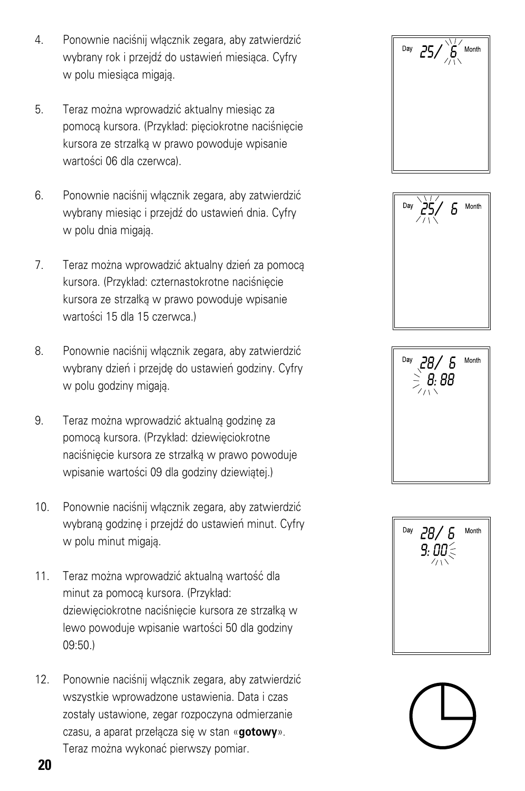- 4. Ponownie naciśnij włącznik zegara, aby zatwierdzić wybrany rok i przejdź do ustawień miesiąca. Cyfry w polu miesiąca migają.
- 5. Teraz można wprowadzić aktualny miesiąc za pomocą kursora. (Przykład: pięciokrotne naciśnięcie kursora ze strzałką w prawo powoduje wpisanie wartości 06 dla czerwca).
- 6. Ponownie naciśnij włącznik zegara, aby zatwierdzić wybrany miesiąc i przejdź do ustawień dnia. Cyfry w polu dnia migają.
- 7. Teraz można wprowadzić aktualny dzień za pomocą kursora. (Przykład: czternastokrotne naciśniecie kursora ze strzałką w prawo powoduje wpisanie wartości 15 dla 15 czerwca.)
- 8. Ponownie naciśnij włącznik zegara, aby zatwierdzić wybrany dzień i przejdę do ustawień godziny. Cyfry w polu godziny migają.
- 9. Teraz można wprowadzić aktualną godzinę za pomocą kursora. (Przykład: dziewięciokrotne naciśnięcie kursora ze strzałką w prawo powoduje wpisanie wartości 09 dla godziny dziewiątej.)
- 10. Ponownie naciśnij włącznik zegara, aby zatwierdzić wybraną godzinę i przejdź do ustawień minut. Cyfry w polu minut migają.
- 11. Teraz można wprowadzić aktualną wartość dla minut za pomocą kursora. (Przykład: dziewięciokrotne naciśnięcie kursora ze strzałką w lewo powoduje wpisanie wartości 50 dla godziny 09:50.)
- 12. Ponownie naciśnij włącznik zegara, aby zatwierdzić wszystkie wprowadzone ustawienia. Data i czas zostały ustawione, zegar rozpoczyna odmierzanie czasu, a aparat przełącza się w stan «**gotowy**». Teraz można wykonać pierwszy pomiar.









**20**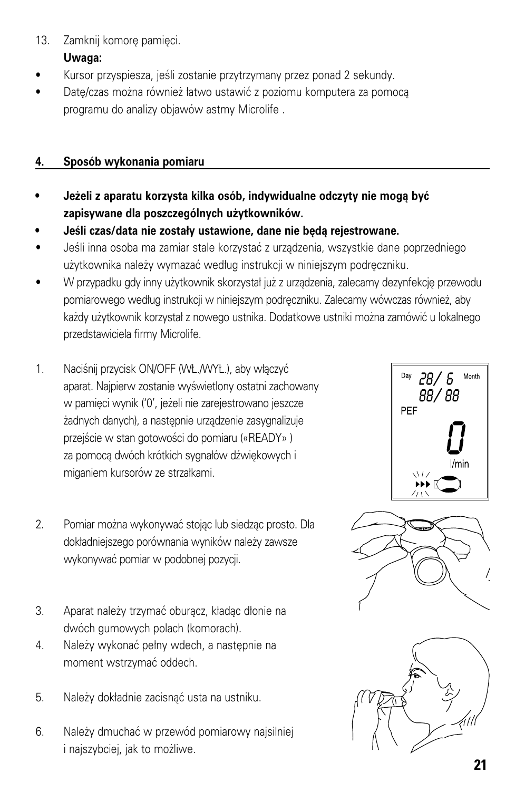- 13. Zamknij komorę pamięci.  **Uwaga:**
- Kursor przyspiesza, jeśli zostanie przytrzymany przez ponad 2 sekundy.
- Datę/czas można również łatwo ustawić z poziomu komputera za pomocą programu do analizy objawów astmy Microlife .

### **4. Sposób wykonania pomiaru**

- **• Jeżeli z aparatu korzysta kilka osób, indywidualne odczyty nie mogą być zapisywane dla poszczególnych użytkowników.**
- **• Jeśli czas/data nie zostały ustawione, dane nie będą rejestrowane.**
- Jeśli inna osoba ma zamiar stale korzystać z urządzenia, wszystkie dane poprzedniego użytkownika należy wymazać według instrukcji w niniejszym podręczniku.
- W przypadku gdy inny użytkownik skorzystał już z urządzenia, zalecamy dezynfekcję przewodu pomiarowego według instrukcji w niniejszym podręczniku. Zalecamy wówczas również, aby każdy użytkownik korzystał z nowego ustnika. Dodatkowe ustniki można zamówić u lokalnego przedstawiciela firmy Microlife.
- 1. Naciśnij przycisk ON/OFF (WŁ./WYŁ.), aby włączyć aparat. Najpierw zostanie wyświetlony ostatni zachowany w pamięci wynik ('0', jeżeli nie zarejestrowano jeszcze żadnych danych), a następnie urządzenie zasygnalizuje przejście w stan gotowości do pomiaru («READY» ) za pomocą dwóch krótkich sygnałów dźwiękowych i miganiem kursorów ze strzałkami.
- 2. Pomiar można wykonywać stojąc lub siedząc prosto. Dla dokładniejszego porównania wyników należy zawsze wykonywać pomiar w podobnej pozycji.
- 3. Aparat należy trzymać oburącz, kładąc dłonie na dwóch gumowych polach (komorach).
- 4. Należy wykonać pełny wdech, a następnie na moment wstrzymać oddech.
- 5. Należy dokładnie zacisnąć usta na ustniku.
- 6. Należy dmuchać w przewód pomiarowy najsilniej i najszybciej, jak to możliwe.





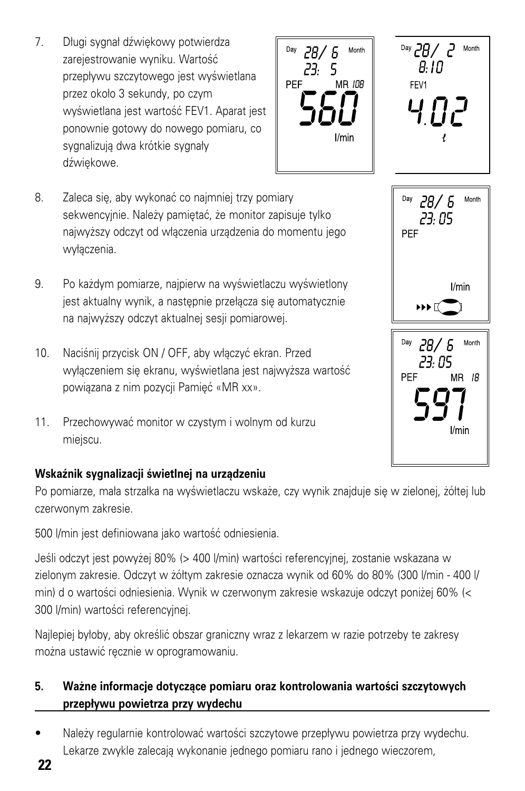7. Długi sygnał dźwiękowy potwierdza zarejestrowanie wyniku. Wartość przepływu szczytowego jest wyświetlana przez około 3 sekundy, po czym wyświetlana jest wartość FEV1. Aparat jest ponownie gotowy do nowego pomiaru, co sygnalizują dwa krótkie sygnały dźwiękowe.



- 8. Zaleca się, aby wykonać co najmniej trzy pomiary sekwencyjnie. Należy pamiętać, że monitor zapisuje tylko najwyższy odczyt od włączenia urządzenia do momentu jego wyłączenia.
- 9. Po każdym pomiarze, najpierw na wyświetlaczu wyświetlony jest aktualny wynik, a następnie przełącza się automatycznie na najwyższy odczyt aktualnej sesji pomiarowej.
- 10. Naciśnij przycisk ON / OFF, aby włączyć ekran. Przed wyłaczeniem się ekranu, wyświetlana jest najwyższa wartość powiązana z nim pozycji Pamięć «MR xx».
- 11. Przechowywać monitor w czystym i wolnym od kurzu miejscu.

### **Wskaźnik sygnalizacji świetlnej na urządzeniu**

Po pomiarze, mała strzałka na wyświetlaczu wskaże, czy wynik znajduje się w zielonej, żółtej lub czerwonym zakresie.

500 l/min jest definiowana jako wartość odniesienia.

Jeśli odczyt jest powyżej 80% (> 400 l/min) wartości referencyjnej, zostanie wskazana w zielonym zakresie. Odczyt w żółtym zakresie oznacza wynik od 60% do 80% (300 l/min - 400 l/ min) d o wartości odniesienia. Wynik w czerwonym zakresie wskazuje odczyt poniżej 60% (< 300 l/min) wartości referencyjnej.

Najlepiej byłoby, aby określić obszar graniczny wraz z lekarzem w razie potrzeby te zakresy można ustawić ręcznie w oprogramowaniu.

### **5. Ważne informacje dotyczące pomiaru oraz kontrolowania wartości szczytowych przepływu powietrza przy wydechu**

• Należy regularnie kontrolować wartości szczytowe przepływu powietrza przy wydechu. Lekarze zwykle zalecają wykonanie jednego pomiaru rano i jednego wieczorem,



*<u>Umin</u>* 

Day 28 / 30 8. I.C

EEVI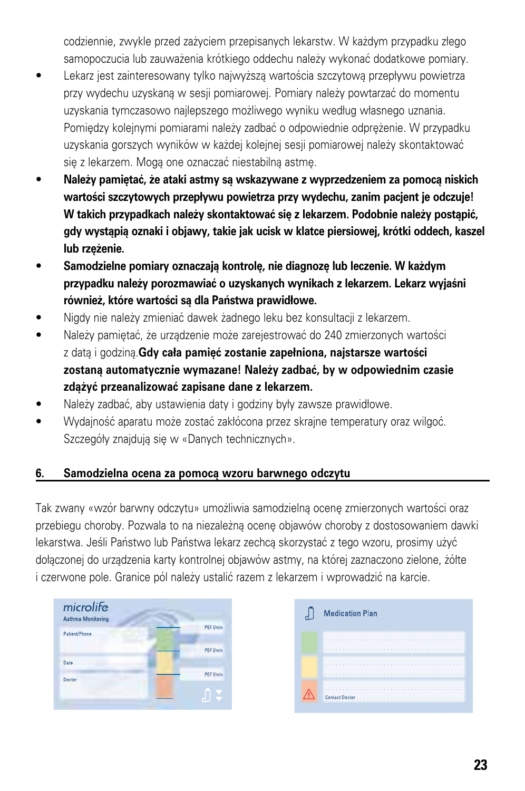codziennie, zwykle przed zażyciem przepisanych lekarstw. W każdym przypadku złego samopoczucia lub zauważenia krótkiego oddechu należy wykonać dodatkowe pomiary.

- Lekarz jest zainteresowany tylko najwyższą wartościa szczytową przepływu powietrza przy wydechu uzyskaną w sesji pomiarowej. Pomiary należy powtarzać do momentu uzyskania tymczasowo najlepszego możliwego wyniku według własnego uznania. Pomiędzy kolejnymi pomiarami należy zadbać o odpowiednie odprężenie. W przypadku uzyskania gorszych wyników w każdej kolejnej sesji pomiarowej należy skontaktować się z lekarzem. Mogą one oznaczać niestabilną astmę.
- **Należy pamiętać, że ataki astmy są wskazywane z wyprzedzeniem za pomocą niskich wartości szczytowych przepływu powietrza przy wydechu, zanim pacjent je odczuje! W takich przypadkach należy skontaktować się z lekarzem. Podobnie należy postąpić, gdy wystąpią oznaki i objawy, takie jak ucisk w klatce piersiowej, krótki oddech, kaszel lub rzężenie.**
- • **Samodzielne pomiary oznaczają kontrolę, nie diagnozę lub leczenie. W każdym przypadku należy porozmawiać o uzyskanych wynikach z lekarzem. Lekarz wyjaśni również, które wartości są dla Państwa prawidłowe.**
- Nigdy nie należy zmieniać dawek żadnego leku bez konsultacji z lekarzem.
- Należy pamiętać, że urządzenie może zarejestrować do 240 zmierzonych wartości z datą i godziną.**Gdy cała pamięć zostanie zapełniona, najstarsze wartości zostaną automatycznie wymazane! Należy zadbać, by w odpowiednim czasie zdążyć przeanalizować zapisane dane z lekarzem.**
- Należy zadbać, aby ustawienia daty i godziny były zawsze prawidłowe.
- Wydajność aparatu może zostać zakłócona przez skrajne temperatury oraz wilgoć. Szczegóły znajdują się w «Danych technicznych».

### **6. Samodzielna ocena za pomocą wzoru barwnego odczytu**

Tak zwany «wzór barwny odczytu» umożliwia samodzielną ocenę zmierzonych wartości oraz przebiegu choroby. Pozwala to na niezależną ocenę objawów choroby z dostosowaniem dawki lekarstwa. Jeśli Państwo lub Państwa lekarz zechcą skorzystać z tego wzoru, prosimy użyć dołączonej do urządzenia karty kontrolnej objawów astmy, na której zaznaczono zielone, żółte i czerwone pole. Granice pól należy ustalić razem z lekarzem i wprowadzić na karcie.

| microlife<br><b>Astron Monitoring</b> |                |
|---------------------------------------|----------------|
| Fatient/Proces                        | <b>PDI Von</b> |
|                                       | PEFENSIN       |
| Date:                                 |                |
| Dester                                | retires        |
|                                       |                |

| <b>Medication Plan</b> |
|------------------------|
| 44                     |
| <b>ALC</b>             |
|                        |
| a a                    |
|                        |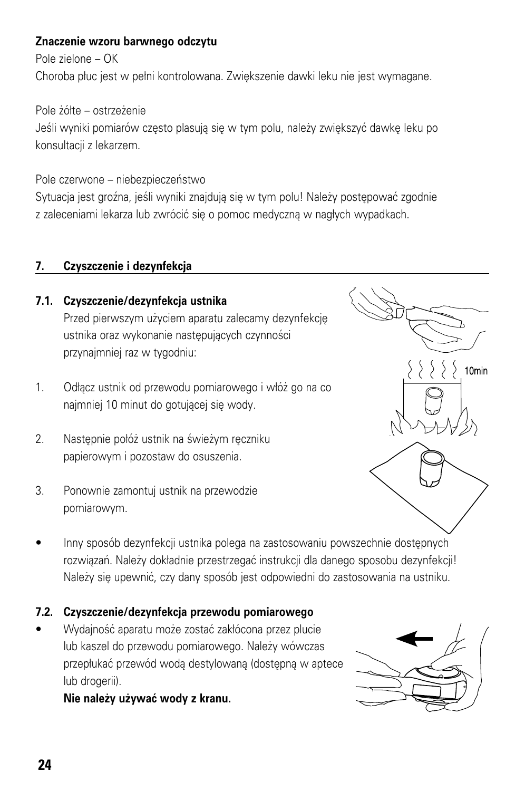### **Znaczenie wzoru barwnego odczytu**

Pole zielone – OK Choroba płuc jest w pełni kontrolowana. Zwiększenie dawki leku nie jest wymagane.

Pole żółte – ostrzeżenie

Jeśli wyniki pomiarów często plasują się w tym polu, należy zwiększyć dawkę leku po konsultacji z lekarzem.

### Pole czerwone – niebezpieczeństwo

Sytuacja jest groźna, jeśli wyniki znajdują się w tym polu! Należy postępować zgodnie z zaleceniami lekarza lub zwrócić się o pomoc medyczną w nagłych wypadkach.

### **7. Czyszczenie i dezynfekcja**

### **7.1. Czyszczenie/dezynfekcja ustnika**

Przed pierwszym użyciem aparatu zalecamy dezynfekcję ustnika oraz wykonanie następujących czynności przynajmniej raz w tygodniu:

- 1. Odłącz ustnik od przewodu pomiarowego i włóż go na co najmniej 10 minut do gotującej się wody.
- 2. Następnie połóż ustnik na świeżym ręczniku papierowym i pozostaw do osuszenia.
- 3. Ponownie zamontuj ustnik na przewodzie pomiarowym.



### **7.2. Czyszczenie/dezynfekcja przewodu pomiarowego**

• Wydajność aparatu może zostać zakłócona przez plucie lub kaszel do przewodu pomiarowego. Należy wówczas przepłukać przewód wodą destylowaną (dostępną w aptece lub drogerii).

**Nie należy używać wody z kranu.**



10<sub>min</sub>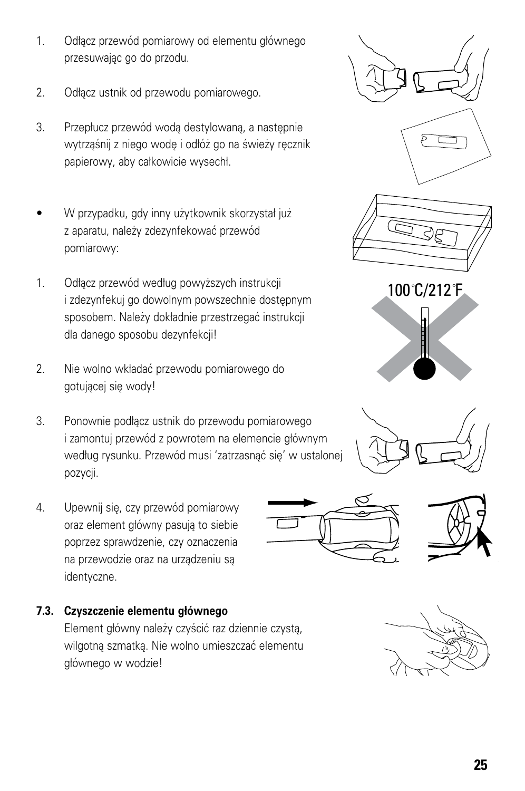- 1. Odłącz przewód pomiarowy od elementu głównego przesuwając go do przodu.
- 2. Odłącz ustnik od przewodu pomiarowego.
- 3. Przepłucz przewód wodą destylowaną, a następnie wytrząśnij z niego wodę i odłóż go na świeży ręcznik papierowy, aby całkowicie wysechł.
- W przypadku, gdy inny użytkownik skorzystał już z aparatu, należy zdezynfekować przewód pomiarowy:
- 1. Odłącz przewód według powyższych instrukcji i zdezynfekuj go dowolnym powszechnie dostępnym sposobem. Należy dokładnie przestrzegać instrukcji dla danego sposobu dezynfekcji!
- 2. Nie wolno wkładać przewodu pomiarowego do gotującej się wody!
- 3. Ponownie podłącz ustnik do przewodu pomiarowego i zamontuj przewód z powrotem na elemencie głównym według rysunku. Przewód musi 'zatrzasnąć się' w ustalonej pozycji.
- 4. Upewnij się, czy przewód pomiarowy oraz element główny pasują to siebie poprzez sprawdzenie, czy oznaczenia na przewodzie oraz na urządzeniu są identyczne.

### **7.3. Czyszczenie elementu głównego**

Element główny należy czyścić raz dziennie czystą, wilgotną szmatką. Nie wolno umieszczać elementu głównego w wodzie!











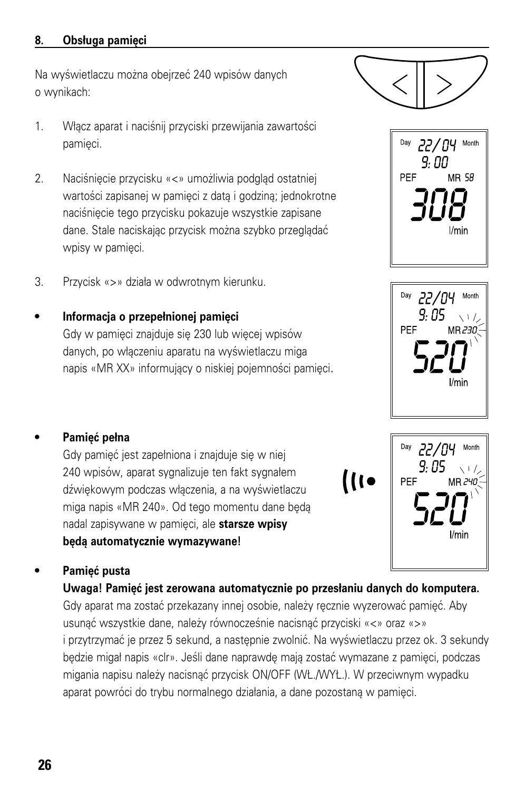#### **8. Obsługa pamięci**

Na wyświetlaczu można obejrzeć 240 wpisów danych o wynikach:

- 1. Włącz aparat i naciśnij przyciski przewijania zawartości pamięci.
- 2. Naciśnięcie przycisku «<» umożliwia podgląd ostatniej wartości zapisanej w pamięci z datą i godziną; jednokrotne naciśnięcie tego przycisku pokazuje wszystkie zapisane dane. Stale naciskając przycisk można szybko przeglądać wpisy w pamięci.
- 3. Przycisk «>» działa w odwrotnym kierunku.
	- **• Informacja o przepełnionej pamięci** Gdy w pamięci znajduje się 230 lub więcej wpisów danych, po włączeniu aparatu na wyświetlaczu miga napis «MR XX» informujący o niskiej pojemności pamięci.



**• Pamięć pusta**

 **Uwaga! Pamięć jest zerowana automatycznie po przesłaniu danych do komputera.** Gdy aparat ma zostać przekazany innej osobie, należy ręcznie wyzerować pamięć. Aby usunąć wszystkie dane, należy równocześnie nacisnąć przyciski «<» oraz «>» i przytrzymać je przez 5 sekund, a następnie zwolnić. Na wyświetlaczu przez ok. 3 sekundy będzie migał napis «clr». Jeśli dane naprawdę mają zostać wymazane z pamięci, podczas migania napisu należy nacisnąć przycisk ON/OFF (WŁ./WYŁ.). W przeciwnym wypadku aparat powróci do trybu normalnego działania, a dane pozostaną w pamięci.









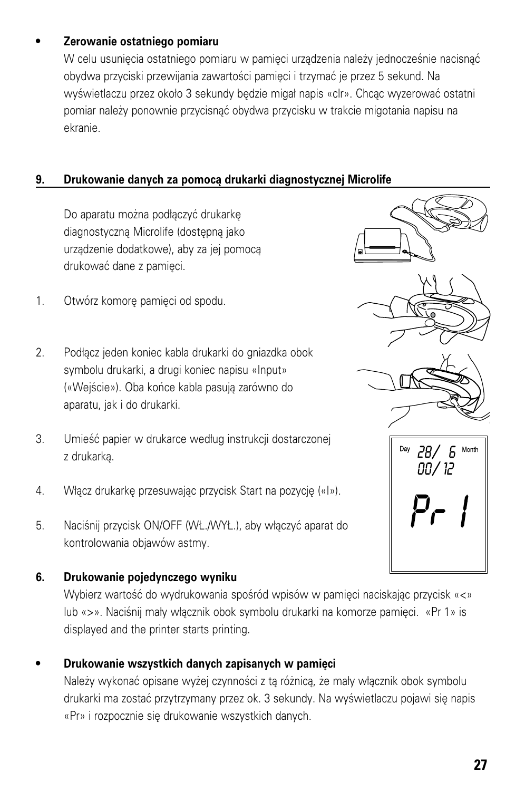### **• Zerowanie ostatniego pomiaru**

W celu usunięcia ostatniego pomiaru w pamięci urządzenia należy jednocześnie nacisnąć obydwa przyciski przewijania zawartości pamięci i trzymać je przez 5 sekund. Na wyświetlaczu przez około 3 sekundy będzie migał napis «clr». Chcąc wyzerować ostatni pomiar należy ponownie przycisnąć obydwa przycisku w trakcie migotania napisu na ekranie.

### **9. Drukowanie danych za pomocą drukarki diagnostycznej Microlife**

Do aparatu można podłączyć drukarkę diagnostyczną Microlife (dostępną jako urządzenie dodatkowe), aby za jej pomocą drukować dane z pamięci.

- 1. Otwórz komorę pamięci od spodu.
- 2. Podłącz jeden koniec kabla drukarki do gniazdka obok symbolu drukarki, a drugi koniec napisu «Input» («Wejście»). Oba końce kabla pasują zarówno do aparatu, jak i do drukarki.
- 3. Umieść papier w drukarce według instrukcji dostarczonej z drukarką.
- 4. Włącz drukarkę przesuwając przycisk Start na pozycję («I»).
- 5. Naciśnij przycisk ON/OFF (WŁ./WYŁ.), aby włączyć aparat do kontrolowania objawów astmy.

### **6. Drukowanie pojedynczego wyniku**

Wybierz wartość do wydrukowania spośród wpisów w pamięci naciskając przycisk «<» lub «>». Naciśnij mały włącznik obok symbolu drukarki na komorze pamięci. «Pr 1» is displayed and the printer starts printing.

### **• Drukowanie wszystkich danych zapisanych w pamięci**

Należy wykonać opisane wyżej czynności z tą różnicą, że mały włącznik obok symbolu drukarki ma zostać przytrzymany przez ok. 3 sekundy. Na wyświetlaczu pojawi się napis «Pr» i rozpocznie się drukowanie wszystkich danych.

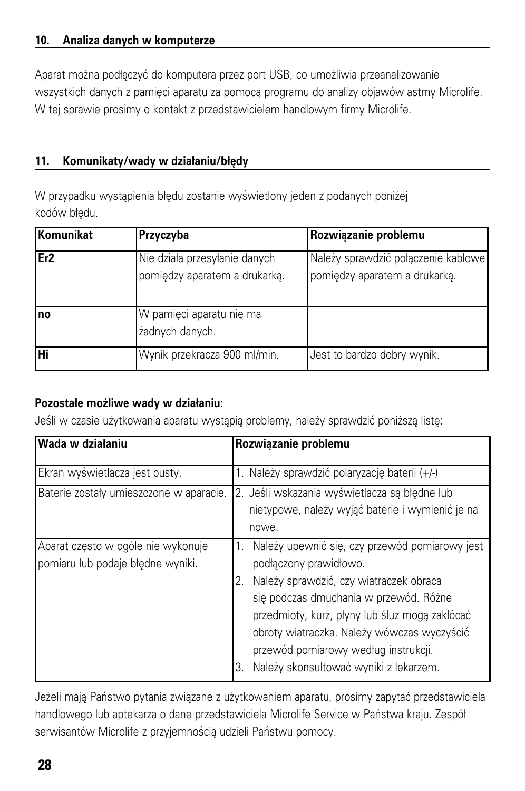Aparat można podłączyć do komputera przez port USB, co umożliwia przeanalizowanie wszystkich danych z pamięci aparatu za pomocą programu do analizy objawów astmy Microlife. W tej sprawie prosimy o kontakt z przedstawicielem handlowym firmy Microlife.

### **11. Komunikaty/wady w działaniu/błędy**

W przypadku wystąpienia błędu zostanie wyświetlony jeden z podanych poniżej kodów błędu.

| Komunikat       | Przyczyba                                                      | Rozwiązanie problemu                                                 |
|-----------------|----------------------------------------------------------------|----------------------------------------------------------------------|
| Er <sub>2</sub> | Nie działa przesyłanie danych<br>pomiedzy aparatem a drukarką. | Należy sprawdzić połączenie kablowe<br>pomiedzy aparatem a drukarką. |
| Ino             | W pamieci aparatu nie ma<br>żadnych danych.                    |                                                                      |
| Hi              | Wynik przekracza 900 ml/min.                                   | Jest to bardzo dobry wynik.                                          |

### **Pozostałe możliwe wady w działaniu:**

Jeśli w czasie użytkowania aparatu wystąpią problemy, należy sprawdzić poniższą listę:

| Wada w działaniu                                                        | Rozwiązanie problemu                                                                                                                                                                                                                                                                                                                                         |
|-------------------------------------------------------------------------|--------------------------------------------------------------------------------------------------------------------------------------------------------------------------------------------------------------------------------------------------------------------------------------------------------------------------------------------------------------|
| Ekran wyświetlacza jest pusty.                                          | 1. Należy sprawdzić polaryzację baterii (+/-)                                                                                                                                                                                                                                                                                                                |
| Baterie zostały umieszczone w aparacie.                                 | 2. Jeśli wskazania wyświetlacza są błedne lub<br>nietypowe, należy wyjąć baterie i wymienić je na<br>nowe.                                                                                                                                                                                                                                                   |
| Aparat często w ogóle nie wykonuje<br>pomiaru lub podaje błedne wyniki. | Należy upewnić się, czy przewód pomiarowy jest<br>podłączony prawidłowo.<br>Należy sprawdzić, czy wiatraczek obraca<br>2.<br>sie podczas dmuchania w przewód. Różne<br>przedmioty, kurz, płyny lub śluz mogą zakłócać<br>obroty wiatraczka. Należy wówczas wyczyścić<br>przewód pomiarowy według instrukcji.<br>Należy skonsultować wyniki z lekarzem.<br>3. |

Jeżeli mają Państwo pytania związane z użytkowaniem aparatu, prosimy zapytać przedstawiciela handlowego lub aptekarza o dane przedstawiciela Microlife Service w Państwa kraju. Zespół serwisantów Microlife z przyjemnością udzieli Państwu pomocy.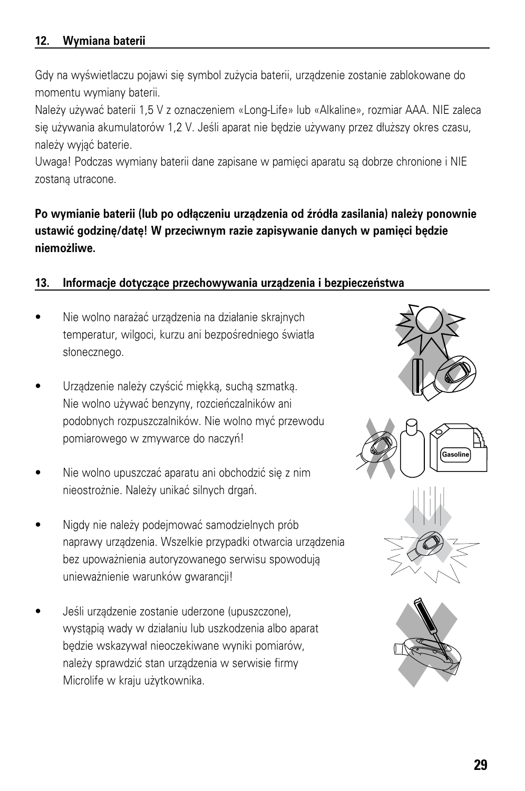### **12. Wymiana baterii**

Gdy na wyświetlaczu pojawi się symbol zużycia baterii, urządzenie zostanie zablokowane do momentu wymiany baterii.

Należy używać baterii 1,5 V z oznaczeniem «Long-Life» lub «Alkaline», rozmiar AAA. NIE zaleca się używania akumulatorów 1,2 V. Jeśli aparat nie będzie używany przez dłuższy okres czasu. należy wyjąć baterie.

Uwaga! Podczas wymiany baterii dane zapisane w pamięci aparatu są dobrze chronione i NIE zostaną utracone.

**Po wymianie baterii (lub po odłączeniu urządzenia od źródła zasilania) należy ponownie ustawić godzinę/datę! W przeciwnym razie zapisywanie danych w pamięci będzie niemożliwe.**

#### **13. Informacje dotyczące przechowywania urządzenia i bezpieczeństwa**

- Nie wolno narażać urządzenia na działanie skrajnych temperatur, wilgoci, kurzu ani bezpośredniego światła słonecznego.
- Urządzenie należy czyścić miękką, suchą szmatką. Nie wolno używać benzyny, rozcieńczalników ani podobnych rozpuszczalników. Nie wolno myć przewodu pomiarowego w zmywarce do naczyń!
- Nie wolno upuszczać aparatu ani obchodzić się z nim nieostrożnie. Należy unikać silnych drgań.
- Nigdy nie należy podejmować samodzielnych prób naprawy urządzenia. Wszelkie przypadki otwarcia urządzenia bez upoważnienia autoryzowanego serwisu spowodują unieważnienie warunków gwarancji!
- Jeśli urządzenie zostanie uderzone (upuszczone), wystąpią wady w działaniu lub uszkodzenia albo aparat będzie wskazywał nieoczekiwane wyniki pomiarów, należy sprawdzić stan urządzenia w serwisie firmy Microlife w kraju użytkownika.

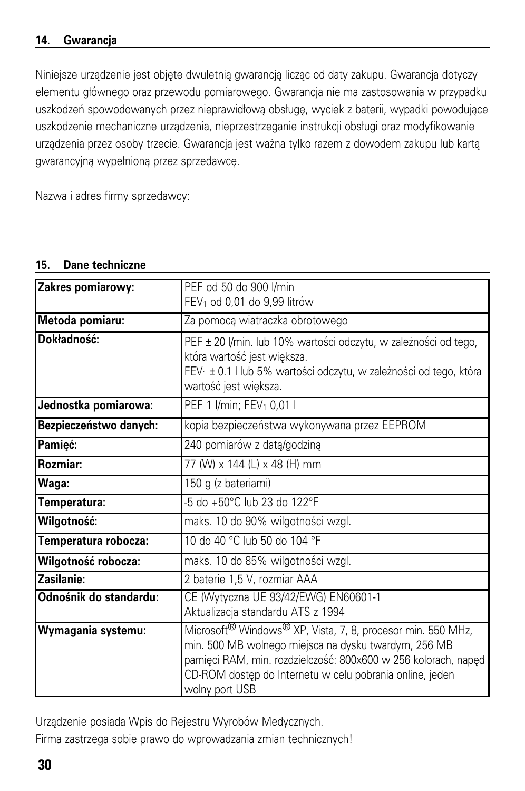#### **14. Gwarancja**

Niniejsze urządzenie jest objęte dwuletnią gwarancją licząc od daty zakupu. Gwarancją dotyczy elementu głównego oraz przewodu pomiarowego. Gwarancja nie ma zastosowania w przypadku uszkodzeń spowodowanych przez nieprawidłową obsługę, wyciek z baterii, wypadki powodujące uszkodzenie mechaniczne urządzenia, nieprzestrzeganie instrukcji obsługi oraz modyfikowanie urządzenia przez osoby trzecie. Gwarancja jest ważna tylko razem z dowodem zakupu lub kartą gwarancyjną wypełnioną przez sprzedawcę.

Nazwa i adres firmy sprzedawcy:

### **15. Dane techniczne**

| Zakres pomiarowy:      | PEF od 50 do 900 l/min                                                                                                                                                                                                                                                                      |
|------------------------|---------------------------------------------------------------------------------------------------------------------------------------------------------------------------------------------------------------------------------------------------------------------------------------------|
|                        | FEV1 od 0,01 do 9,99 litrów                                                                                                                                                                                                                                                                 |
| Metoda pomiaru:        | Za pomoca wiatraczka obrotowego                                                                                                                                                                                                                                                             |
| Dokładność:            | PEF ± 20 l/min. lub 10% wartości odczytu, w zależności od tego,<br>która wartość jest wieksza.<br>FEV <sub>1</sub> ± 0.1 I lub 5% wartości odczytu, w zależności od tego, która<br>wartość jest większa.                                                                                    |
| Jednostka pomiarowa:   | PEF 1 I/min; FEV <sub>1</sub> 0,01 I                                                                                                                                                                                                                                                        |
| Bezpieczeństwo danych: | kopia bezpieczeństwa wykonywana przez EEPROM                                                                                                                                                                                                                                                |
| Pamieć:                | 240 pomiarów z datą/godzina                                                                                                                                                                                                                                                                 |
| Rozmiar:               | 77 (W) x 144 (L) x 48 (H) mm                                                                                                                                                                                                                                                                |
| Waga:                  | 150 g (z bateriami)                                                                                                                                                                                                                                                                         |
| Temperatura:           | -5 do +50°C lub 23 do 122°F                                                                                                                                                                                                                                                                 |
| Wilgotność:            | maks. 10 do 90% wilgotności wzgl.                                                                                                                                                                                                                                                           |
| Temperatura robocza:   | 10 do 40 °C lub 50 do 104 °F                                                                                                                                                                                                                                                                |
| Wilgotność robocza:    | maks. 10 do 85% wilgotności wzgl.                                                                                                                                                                                                                                                           |
| Zasilanie:             | 2 baterie 1.5 V. rozmiar AAA                                                                                                                                                                                                                                                                |
| Odnośnik do standardu: | CE (Wytyczna UE 93/42/EWG) EN60601-1<br>Aktualizacja standardu ATS z 1994                                                                                                                                                                                                                   |
| Wymagania systemu:     | Microsoft <sup>®</sup> Windows <sup>®</sup> XP, Vista, 7, 8, procesor min. 550 MHz,<br>min. 500 MB wolnego miejsca na dysku twardym, 256 MB<br>pamieci RAM, min. rozdzielczość: 800x600 w 256 kolorach, naped<br>CD-ROM dostep do Internetu w celu pobrania online, jeden<br>wolny port USB |

Urządzenie posiada Wpis do Rejestru Wyrobów Medycznych. Firma zastrzega sobie prawo do wprowadzania zmian technicznych!